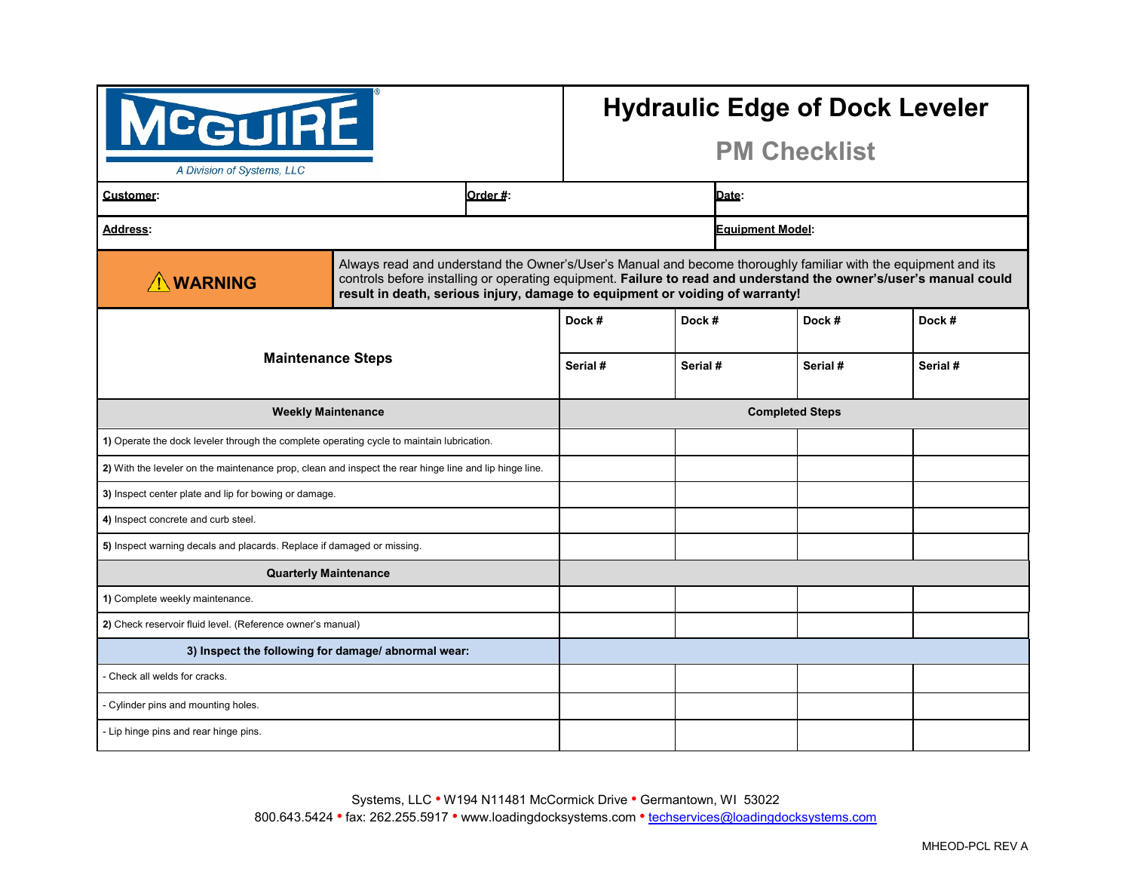| MCGUIRE<br>A Division of Systems, LLC                                                                  |          |                                                                                                                                                                                                                                                                                                                     | <b>Hydraulic Edge of Dock Leveler</b><br><b>PM Checklist</b> |  |          |          |
|--------------------------------------------------------------------------------------------------------|----------|---------------------------------------------------------------------------------------------------------------------------------------------------------------------------------------------------------------------------------------------------------------------------------------------------------------------|--------------------------------------------------------------|--|----------|----------|
| Customer:                                                                                              | Order #: |                                                                                                                                                                                                                                                                                                                     | Date:                                                        |  |          |          |
| <b>Address:</b>                                                                                        |          | <b>Equipment Model:</b>                                                                                                                                                                                                                                                                                             |                                                              |  |          |          |
| <b>AWARNING</b>                                                                                        |          | Always read and understand the Owner's/User's Manual and become thoroughly familiar with the equipment and its<br>controls before installing or operating equipment. Failure to read and understand the owner's/user's manual could<br>result in death, serious injury, damage to equipment or voiding of warranty! |                                                              |  |          |          |
|                                                                                                        |          | Dock #                                                                                                                                                                                                                                                                                                              | Dock #                                                       |  | Dock #   | Dock #   |
| <b>Maintenance Steps</b>                                                                               |          | Serial #                                                                                                                                                                                                                                                                                                            | Serial #                                                     |  | Serial # | Serial # |
| <b>Weekly Maintenance</b>                                                                              |          |                                                                                                                                                                                                                                                                                                                     | <b>Completed Steps</b>                                       |  |          |          |
| 1) Operate the dock leveler through the complete operating cycle to maintain lubrication.              |          |                                                                                                                                                                                                                                                                                                                     |                                                              |  |          |          |
| 2) With the leveler on the maintenance prop, clean and inspect the rear hinge line and lip hinge line. |          |                                                                                                                                                                                                                                                                                                                     |                                                              |  |          |          |
| 3) Inspect center plate and lip for bowing or damage.                                                  |          |                                                                                                                                                                                                                                                                                                                     |                                                              |  |          |          |
| 4) Inspect concrete and curb steel.                                                                    |          |                                                                                                                                                                                                                                                                                                                     |                                                              |  |          |          |
| 5) Inspect warning decals and placards. Replace if damaged or missing.                                 |          |                                                                                                                                                                                                                                                                                                                     |                                                              |  |          |          |
| <b>Quarterly Maintenance</b>                                                                           |          |                                                                                                                                                                                                                                                                                                                     |                                                              |  |          |          |
| 1) Complete weekly maintenance.                                                                        |          |                                                                                                                                                                                                                                                                                                                     |                                                              |  |          |          |
| 2) Check reservoir fluid level. (Reference owner's manual)                                             |          |                                                                                                                                                                                                                                                                                                                     |                                                              |  |          |          |
| 3) Inspect the following for damage/abnormal wear:                                                     |          |                                                                                                                                                                                                                                                                                                                     |                                                              |  |          |          |
| - Check all welds for cracks.                                                                          |          |                                                                                                                                                                                                                                                                                                                     |                                                              |  |          |          |
| - Cylinder pins and mounting holes.                                                                    |          |                                                                                                                                                                                                                                                                                                                     |                                                              |  |          |          |
| - Lip hinge pins and rear hinge pins.                                                                  |          |                                                                                                                                                                                                                                                                                                                     |                                                              |  |          |          |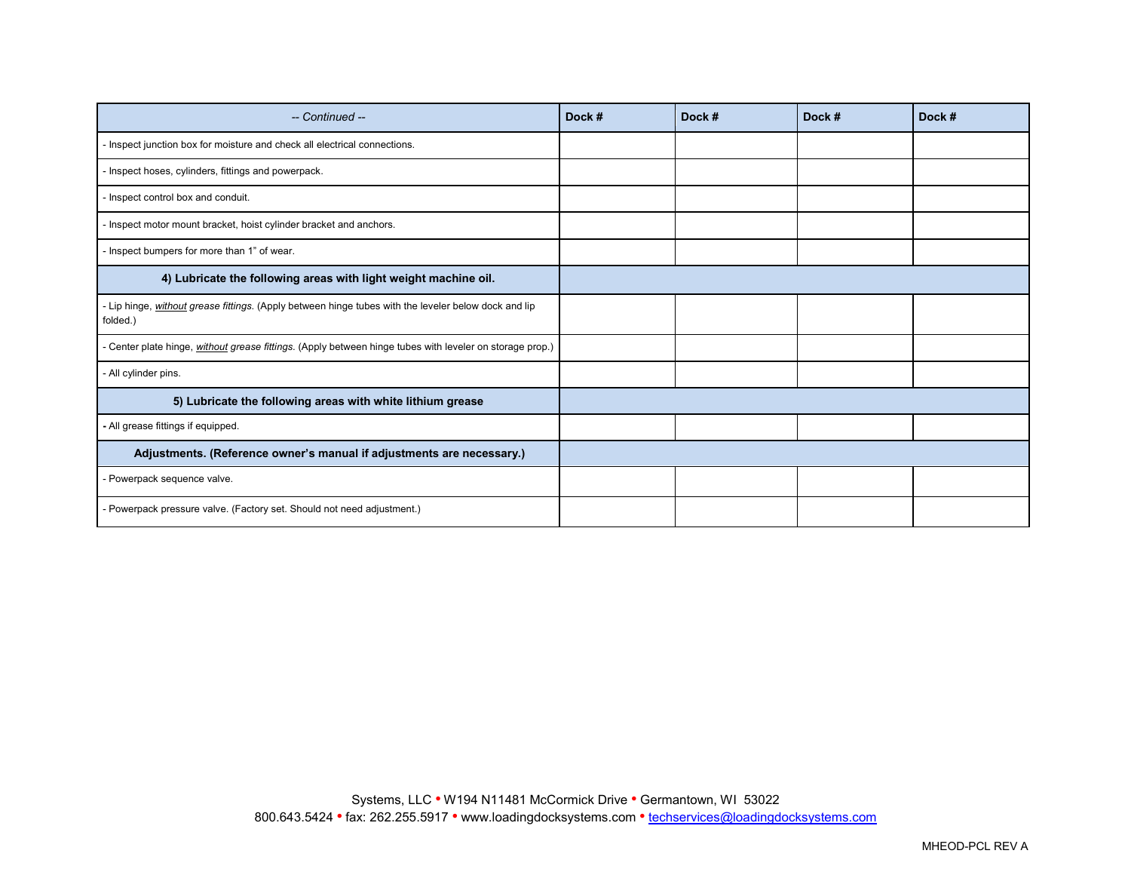| -- Continued --                                                                                                  | Dock # | Dock # | Dock # | Dock # |
|------------------------------------------------------------------------------------------------------------------|--------|--------|--------|--------|
| Inspect junction box for moisture and check all electrical connections.                                          |        |        |        |        |
| Inspect hoses, cylinders, fittings and powerpack.                                                                |        |        |        |        |
| Inspect control box and conduit.                                                                                 |        |        |        |        |
| Inspect motor mount bracket, hoist cylinder bracket and anchors.                                                 |        |        |        |        |
| Inspect bumpers for more than 1" of wear.                                                                        |        |        |        |        |
| 4) Lubricate the following areas with light weight machine oil.                                                  |        |        |        |        |
| - Lip hinge, without grease fittings. (Apply between hinge tubes with the leveler below dock and lip<br>folded.) |        |        |        |        |
| - Center plate hinge, <i>without grease fittings</i> . (Apply between hinge tubes with leveler on storage prop.) |        |        |        |        |
| - All cylinder pins.                                                                                             |        |        |        |        |
| 5) Lubricate the following areas with white lithium grease                                                       |        |        |        |        |
| - All grease fittings if equipped.                                                                               |        |        |        |        |
| Adjustments. (Reference owner's manual if adjustments are necessary.)                                            |        |        |        |        |
| Powerpack sequence valve.                                                                                        |        |        |        |        |
| Powerpack pressure valve. (Factory set. Should not need adjustment.)                                             |        |        |        |        |